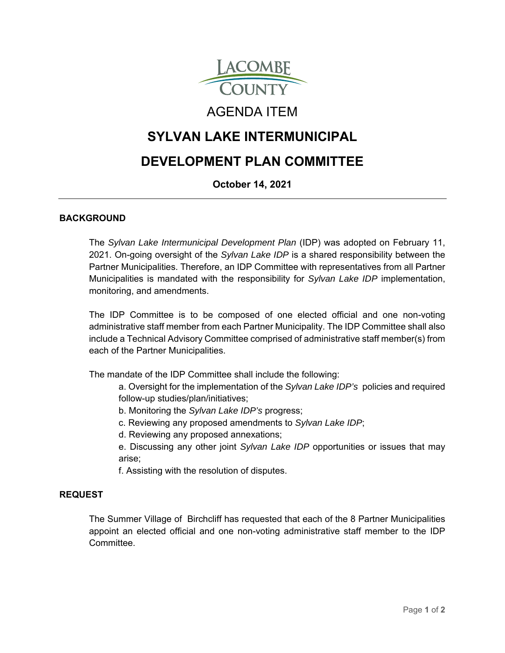

# AGENDA ITEM

## **SYLVAN LAKE INTERMUNICIPAL**

# **DEVELOPMENT PLAN COMMITTEE**

### **October 14, 2021**

### **BACKGROUND**

The *Sylvan Lake Intermunicipal Development Plan* (IDP) was adopted on February 11, 2021. On-going oversight of the *Sylvan Lake IDP* is a shared responsibility between the Partner Municipalities. Therefore, an IDP Committee with representatives from all Partner Municipalities is mandated with the responsibility for *Sylvan Lake IDP* implementation, monitoring, and amendments.

The IDP Committee is to be composed of one elected official and one non-voting administrative staff member from each Partner Municipality. The IDP Committee shall also include a Technical Advisory Committee comprised of administrative staff member(s) from each of the Partner Municipalities.

The mandate of the IDP Committee shall include the following:

a. Oversight for the implementation of the *Sylvan Lake IDP's* policies and required follow-up studies/plan/initiatives;

- b. Monitoring the *Sylvan Lake IDP's* progress;
- c. Reviewing any proposed amendments to *Sylvan Lake IDP*;
- d. Reviewing any proposed annexations;

e. Discussing any other joint *Sylvan Lake IDP* opportunities or issues that may arise;

f. Assisting with the resolution of disputes.

#### **REQUEST**

The Summer Village of Birchcliff has requested that each of the 8 Partner Municipalities appoint an elected official and one non-voting administrative staff member to the IDP **Committee**